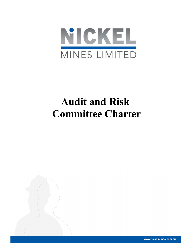

# Audit and Risk Committee Charter



www.nickelmines.com.au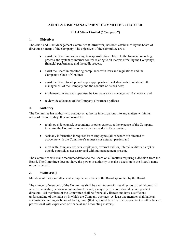# AUDIT & RISK MANAGEMENT COMMITTEE CHARTER

## Nickel Mines Limited ("Company")

## 1. Objectives

The Audit and Risk Management Committee (Committee) has been established by the board of directors (Board) of the Company. The objectives of the Committee are to:

- assist the Board in discharging its responsibilities relative to the financial reporting process, the system of internal control relating to all matters affecting the Company's financial performance and the audit process;
- assist the Board in monitoring compliance with laws and regulations and the Company's Code of Conduct;
- assist the Board to adopt and apply appropriate ethical standards in relation to the management of the Company and the conduct of its business;
- implement, review and supervise the Company's risk management framework; and
- review the adequacy of the Company's insurance policies.

## 2. Authority

The Committee has authority to conduct or authorise investigations into any matters within its scope of responsibility. It is authorised to:

- retain outside counsel, accountants or other experts, at the expense of the Company, to advise the Committee or assist in the conduct of any matter;
- seek any information it requires from employees (all of whom are directed to cooperate with the Committee's requests) or external parties; and
- meet with Company officers, employees, external auditor, internal auditor (if any) or outside counsel, as necessary and without management present.

The Committee will make recommendations to the Board on all matters requiring a decision from the Board. The Committee does not have the power or authority to make a decision in the Board's name or on its behalf.

## 3. Membership

Members of the Committee shall comprise members of the Board appointed by the Board.

The number of members of the Committee shall be a minimum of three directors, all of whom shall, where practicable, be non-executive directors and, a majority of whom should be independent directors. All members of the Committee shall be financially literate and have a sufficient understanding of the industry in which the Company operates. At least one member shall have an adequate accounting or financial background (that is, should be a qualified accountant or other finance professional with experience of financial and accounting matters).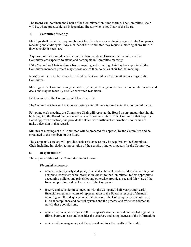The Board will nominate the Chair of the Committee from time to time. The Committee Chair will be, where practicable, an independent director who is not Chair of the Board.

## 4. Committee Meetings

Meetings shall be held as required but not less than twice a year having regard to the Company's reporting and audit cycle. Any member of the Committee may request a meeting at any time if they consider it necessary.

A quorum of the Committee will comprise two members. However, all members of the Committee are expected to attend and participate in Committee meetings.

If the Committee Chair is absent from a meeting and no acting chair has been appointed, the Committee members present may choose one of them to act as chair for that meeting.

Non-Committee members may be invited by the Committee Chair to attend meetings of the Committee.

Meetings of the Committee may be held or participated in by conference call or similar means, and decisions may be made by circular or written resolution.

Each member of the Committee will have one vote.

The Committee Chair will not have a casting vote. If there is a tied vote, the motion will lapse.

Following each meeting, the Committee Chair will report to the Board on any matter that should be brought to the Board's attention and on any recommendation of the Committee that requires Board approval or action, and provide the Board with sufficient information upon which to make a decision in that regard.

Minutes of meetings of the Committee will be prepared for approval by the Committee and be circulated to the members of the Board.

The Company Secretary will provide such assistance as may be required by the Committee Chair including in relation to preparation of the agenda, minutes or papers for the Committee.

## 5. Responsibilities

The responsibilities of the Committee are as follows:

## Financial statements

- review the half-yearly and yearly financial statements and consider whether they are complete, consistent with information known to the Committee, reflect appropriate accounting policies and principles and otherwise provide a true and fair view of the financial position and performance of the Company;
- receive and consider in connection with the Company's half-yearly and yearly financial statements letters of representation to the Board in respect of financial reporting and the adequacy and effectiveness of the Company's risk management, internal compliance and control systems and the process and evidence adopted to satisfy those conclusions;
- review the financial sections of the Company's Annual Report and related regulatory filings before release and consider the accuracy and completeness of the information;
- review with management and the external auditors the results of the audit;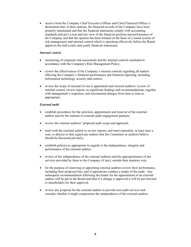receive from the Company Chief Executive Officer and Chief Financial Officer a declaration that, in their opinion, the financial records of the Company have been properly maintained and that the financial statements comply with accounting standards and give a true and fair view of the financial position and performance of the Company and that the opinion has been formed on the basis of a sound system of risk management and internal control which is operating effectively before the Board approves the half-yearly and yearly financial statements;

## Internal control

- monitoring of corporate risk assessment and the internal controls instituted in accordance with the Company's Risk Management Policy;
- review the effectiveness of the Company's internal controls regarding all matters affecting the Company's financial performance and financial reporting, including information technology security and control;
- review the scope of internal (if one is appointed) and external auditors' review of internal control, review reports on significant findings and recommendations, together with management's responses, and recommend changes from time to time as appropriate;

#### External audit

- establish procedures for the selection, appointment and removal of the external auditor and for the rotation of external audit engagement partners;
- review the external auditors' proposed audit scope and approach;
- meet with the external auditor to review reports, and meet separately, at least once a year, to discuss in that regard any matters that the Committee or auditors believe should be discussed privately;
- establish policies as appropriate in regards to the independence, integrity and performance of the external auditor;
- review of the independence of the external auditors and the appropriateness of any services provided by them to the Company (if any), outside their statutory role;
- for the purpose of removing or appointing external auditors review their performance, including their proposed fees, and if appropriate conduct a tender of the audit. Any subsequent recommendation following the tender for the appointment of an external auditor will be put to the Board and then if a change is approved it will be put forward to shareholders for their approval;
- review any proposal for the external auditor to provide non-audit services and consider whether it might compromise the independence of the external auditor;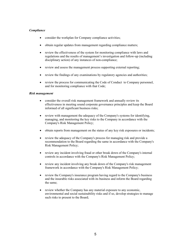## Compliance

- consider the workplan for Company compliance activities;
- obtain regular updates from management regarding compliance matters;
- review the effectiveness of the system for monitoring compliance with laws and regulations and the results of management's investigation and follow-up (including disciplinary action) of any instances of non-compliance;
- review and assess the management process supporting external reporting;
- review the findings of any examinations by regulatory agencies and authorities;
- review the process for communicating the Code of Conduct to Company personnel, and for monitoring compliance with that Code;

#### Risk management

- consider the overall risk management framework and annually review its effectiveness in meeting sound corporate governance principles and keep the Board informed of all significant business risks;
- review with management the adequacy of the Company's systems for identifying, managing, and monitoring the key risks to the Company in accordance with the Company's Risk Management Policy;
- obtain reports from management on the status of any key risk exposures or incidents;
- review the adequacy of the Company's process for managing risk and provide a recommendation to the Board regarding the same in accordance with the Company's Risk Management Policy;
- review any incident involving fraud or other break down of the Company's internal controls in accordance with the Company's Risk Management Policy;
- review any incident involving any break down of the Company's risk management framework in accordance with the Company's Risk Management Policy;
- review the Company's insurance program having regard to the Company's business and the insurable risks associated with its business and inform the Board regarding the same;
- review whether the Company has any material exposure to any economic, environmental and social sustainability risks and if so, develop strategies to manage such risks to present to the Board;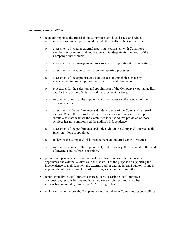## Reporting responsibilities

- regularly report to the Board about Committee activities, issues, and related recommendations. Such report should include the results of the Committee's:
	- o assessment of whether external reporting is consistent with Committee members' information and knowledge and is adequate for the needs of the Company's shareholders;
	- o assessment of the management processes which supports external reporting;
	- o assessment of the Company's corporate reporting processes;
	- o assessment of the appropriateness of the accounting choices made by management in preparing the Company's financial statements;
	- o procedures for the selection and appointment of the Company's external auditor and for the rotation of external audit engagement partners;
	- o recommendations for the appointment or, if necessary, the removal of the external auditor;
	- o assessment of the performance and independence of the Company's external auditor. Where the external auditor provides non-audit services, the report should also state whether the Committee is satisfied that provision of those services has not compromised the auditor's independence;
	- o assessment of the performance and objectivity of the Company's internal audit function (if one is appointed);
	- o review of the Company's risk management and internal control systems;
	- o recommendations for the appointment, or if necessary, the dismissal of the head of internal audit (if one is appointed);
- provide an open avenue of communication between internal audit (if one is appointed), the external auditors and the Board. For the purpose of supporting the independence of their function, the external auditor and the internal auditor (if one is appointed) will have a direct line of reporting access to the Committee;
- report annually to the Company's shareholders, describing the Committee's composition, responsibilities and how they were discharged and any other information required by law or the ASX Listing Rules;
- review any other reports the Company issues that relate to Committee responsibilities;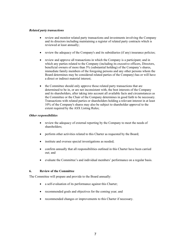## Related party transactions

- review and monitor related party transactions and investments involving the Company and its directors including maintaining a register of related party contracts which is reviewed at least annually;
- review the adequacy of the Company's and its subsidiaries (if any) insurance policies;
- review and approve all transactions in which the Company is a participant; and in which any parties related to the Company (including its executive officers, Directors, beneficial owners of more than 5% (substantial holding) of the Company's shares, immediate family members of the foregoing persons and any other persons whom the Board determines may be considered related parties of the Company) has or will have a direct or indirect material interest;
- the Committee should only approve those related party transactions that are determined to be in, or are not inconsistent with, the best interests of the Company and its shareholders, after taking into account all available facts and circumstances as the Committee or the Chair of the Company determines in good faith to be necessary. Transactions with related parties or shareholders holding a relevant interest in at least 10% of the Company's shares may also be subject to shareholder approval to the extent required by the ASX Listing Rules;

## Other responsibilities

- review the adequacy of external reporting by the Company to meet the needs of shareholders;
- perform other activities related to this Charter as requested by the Board;
- institute and oversee special investigations as needed;
- confirm annually that all responsibilities outlined in this Charter have been carried out; and
- evaluate the Committee's and individual members' performance on a regular basis.

#### 6. Review of the Committee

The Committee will prepare and provide to the Board annually:

- a self-evaluation of its performance against this Charter;
- recommended goals and objectives for the coming year; and
- recommended changes or improvements to this Charter if necessary.